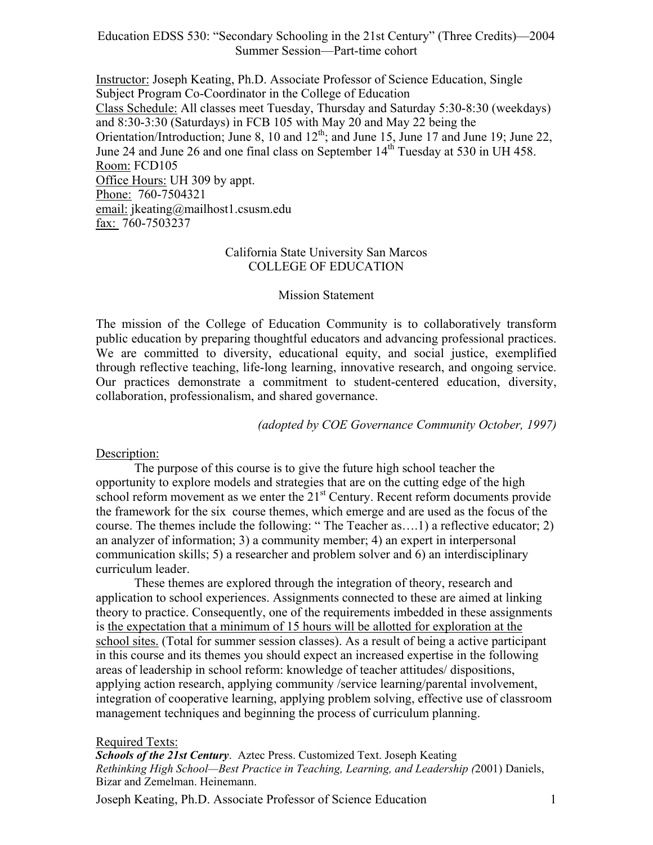Education EDSS 530: "Secondary Schooling in the 21st Century" (Three Credits)—2004 Summer Session—Part-time cohort

Instructor: Joseph Keating, Ph.D. Associate Professor of Science Education, Single Subject Program Co-Coordinator in the College of Education Class Schedule: All classes meet Tuesday, Thursday and Saturday 5:30-8:30 (weekdays) and 8:30-3:30 (Saturdays) in FCB 105 with May 20 and May 22 being the Orientation/Introduction; June 8, 10 and  $12<sup>th</sup>$ ; and June 15, June 17 and June 19; June 22, June 24 and June 26 and one final class on September 14<sup>th</sup> Tuesday at 530 in UH 458. Room: FCD105 Office Hours: UH 309 by appt. Phone: 760-7504321 email: jkeating@mailhost1.csusm.edu fax: 760-7503237

### California State University San Marcos COLLEGE OF EDUCATION

#### Mission Statement

The mission of the College of Education Community is to collaboratively transform public education by preparing thoughtful educators and advancing professional practices. We are committed to diversity, educational equity, and social justice, exemplified through reflective teaching, life-long learning, innovative research, and ongoing service. Our practices demonstrate a commitment to student-centered education, diversity, collaboration, professionalism, and shared governance.

*(adopted by COE Governance Community October, 1997)*

#### Description:

The purpose of this course is to give the future high school teacher the opportunity to explore models and strategies that are on the cutting edge of the high school reform movement as we enter the  $21<sup>st</sup>$  Century. Recent reform documents provide the framework for the six course themes, which emerge and are used as the focus of the course. The themes include the following: " The Teacher as….1) a reflective educator; 2) an analyzer of information; 3) a community member; 4) an expert in interpersonal communication skills; 5) a researcher and problem solver and 6) an interdisciplinary curriculum leader.

These themes are explored through the integration of theory, research and application to school experiences. Assignments connected to these are aimed at linking theory to practice. Consequently, one of the requirements imbedded in these assignments is the expectation that a minimum of 15 hours will be allotted for exploration at the school sites. (Total for summer session classes). As a result of being a active participant in this course and its themes you should expect an increased expertise in the following areas of leadership in school reform: knowledge of teacher attitudes/ dispositions, applying action research, applying community /service learning/parental involvement, integration of cooperative learning, applying problem solving, effective use of classroom management techniques and beginning the process of curriculum planning.

#### Required Texts:

*Schools of the 21st Century*. Aztec Press. Customized Text. Joseph Keating *Rethinking High School—Best Practice in Teaching, Learning, and Leadership (*2001) Daniels, Bizar and Zemelman. Heinemann.

Joseph Keating, Ph.D. Associate Professor of Science Education 1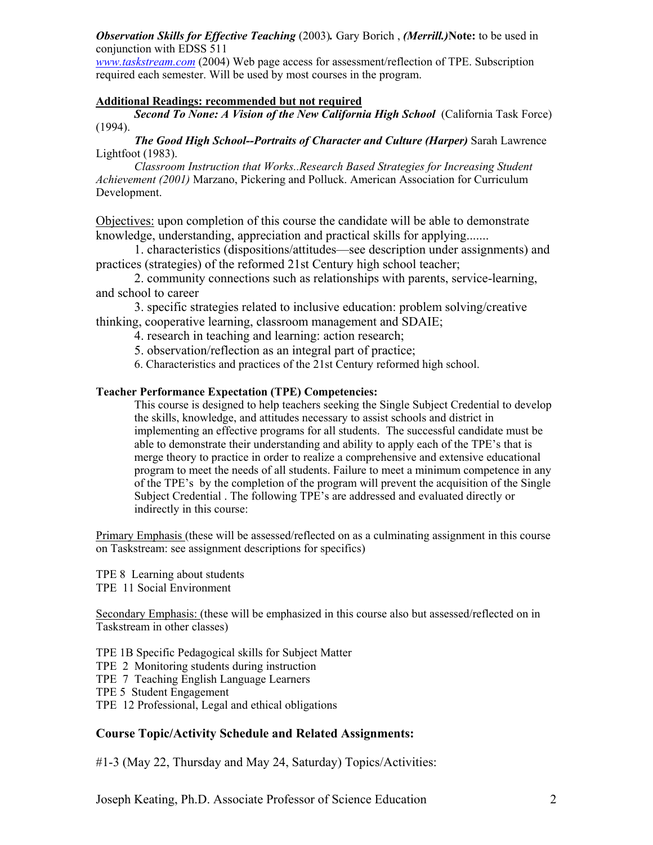*Observation Skills for Effective Teaching* (2003)*.* Gary Borich , *(Merrill.)***Note:** to be used in conjunction with EDSS 511

*www.taskstream.com* (2004) Web page access for assessment/reflection of TPE. Subscription required each semester. Will be used by most courses in the program.

#### **Additional Readings: recommended but not required**

*Second To None: A Vision of the New California High School* (California Task Force) (1994).

*The Good High School--Portraits of Character and Culture (Harper)* Sarah Lawrence Lightfoot (1983).

*Classroom Instruction that Works..Research Based Strategies for Increasing Student Achievement (2001)* Marzano, Pickering and Polluck. American Association for Curriculum Development.

Objectives: upon completion of this course the candidate will be able to demonstrate knowledge, understanding, appreciation and practical skills for applying.......

 1. characteristics (dispositions/attitudes—see description under assignments) and practices (strategies) of the reformed 21st Century high school teacher;

 2. community connections such as relationships with parents, service-learning, and school to career

 3. specific strategies related to inclusive education: problem solving/creative thinking, cooperative learning, classroom management and SDAIE;

4. research in teaching and learning: action research;

5. observation/reflection as an integral part of practice;

6. Characteristics and practices of the 21st Century reformed high school.

#### **Teacher Performance Expectation (TPE) Competencies:**

This course is designed to help teachers seeking the Single Subject Credential to develop the skills, knowledge, and attitudes necessary to assist schools and district in implementing an effective programs for all students. The successful candidate must be able to demonstrate their understanding and ability to apply each of the TPE's that is merge theory to practice in order to realize a comprehensive and extensive educational program to meet the needs of all students. Failure to meet a minimum competence in any of the TPE's by the completion of the program will prevent the acquisition of the Single Subject Credential . The following TPE's are addressed and evaluated directly or indirectly in this course:

Primary Emphasis (these will be assessed/reflected on as a culminating assignment in this course on Taskstream: see assignment descriptions for specifics)

TPE 8 Learning about students TPE 11 Social Environment

Secondary Emphasis: (these will be emphasized in this course also but assessed/reflected on in Taskstream in other classes)

TPE 1B Specific Pedagogical skills for Subject Matter TPE 2 Monitoring students during instruction TPE 7 Teaching English Language Learners TPE 5 Student Engagement TPE 12 Professional, Legal and ethical obligations

## **Course Topic/Activity Schedule and Related Assignments:**

#1-3 (May 22, Thursday and May 24, Saturday) Topics/Activities: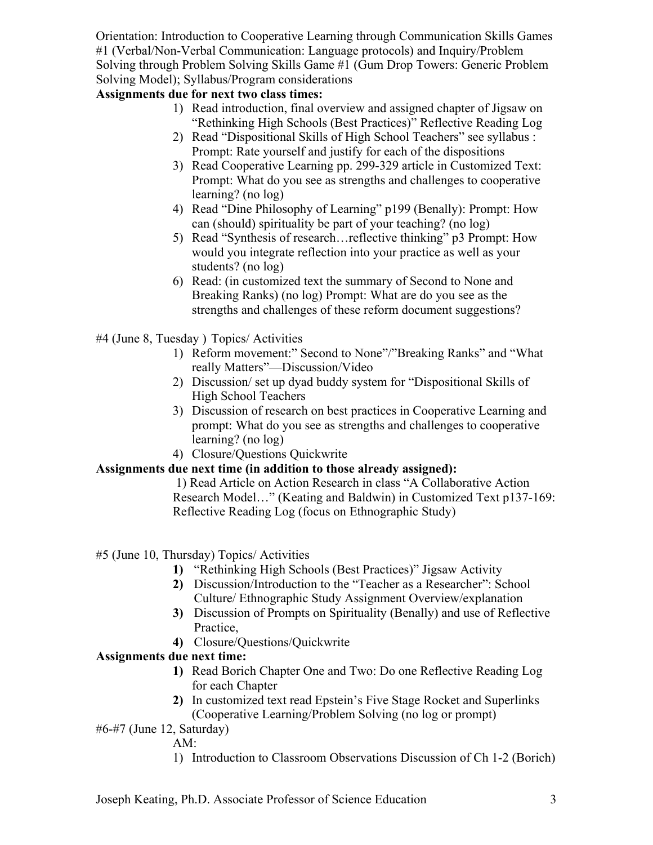Orientation: Introduction to Cooperative Learning through Communication Skills Games #1 (Verbal/Non-Verbal Communication: Language protocols) and Inquiry/Problem Solving through Problem Solving Skills Game #1 (Gum Drop Towers: Generic Problem Solving Model); Syllabus/Program considerations

# **Assignments due for next two class times:**

- 1) Read introduction, final overview and assigned chapter of Jigsaw on "Rethinking High Schools (Best Practices)" Reflective Reading Log
- 2) Read "Dispositional Skills of High School Teachers" see syllabus : Prompt: Rate yourself and justify for each of the dispositions
- 3) Read Cooperative Learning pp. 299-329 article in Customized Text: Prompt: What do you see as strengths and challenges to cooperative learning? (no log)
- 4) Read "Dine Philosophy of Learning" p199 (Benally): Prompt: How can (should) spirituality be part of your teaching? (no log)
- 5) Read "Synthesis of research…reflective thinking" p3 Prompt: How would you integrate reflection into your practice as well as your students? (no log)
- 6) Read: (in customized text the summary of Second to None and Breaking Ranks) (no log) Prompt: What are do you see as the strengths and challenges of these reform document suggestions?
- #4 (June 8, Tuesday ) Topics/ Activities
	- 1) Reform movement:" Second to None"/"Breaking Ranks" and "What really Matters"—Discussion/Video
	- 2) Discussion/ set up dyad buddy system for "Dispositional Skills of High School Teachers
	- 3) Discussion of research on best practices in Cooperative Learning and prompt: What do you see as strengths and challenges to cooperative learning? (no log)
	- 4) Closure/Questions Quickwrite

# **Assignments due next time (in addition to those already assigned):**

 1) Read Article on Action Research in class "A Collaborative Action Research Model…" (Keating and Baldwin) in Customized Text p137-169: Reflective Reading Log (focus on Ethnographic Study)

#5 (June 10, Thursday) Topics/ Activities

- **1)** "Rethinking High Schools (Best Practices)" Jigsaw Activity
- **2)** Discussion/Introduction to the "Teacher as a Researcher": School Culture/ Ethnographic Study Assignment Overview/explanation
- **3)** Discussion of Prompts on Spirituality (Benally) and use of Reflective Practice,
- **4)** Closure/Questions/Quickwrite

# **Assignments due next time:**

- **1)** Read Borich Chapter One and Two: Do one Reflective Reading Log for each Chapter
- **2)** In customized text read Epstein's Five Stage Rocket and Superlinks (Cooperative Learning/Problem Solving (no log or prompt)

#6-#7 (June 12, Saturday)

AM:

1) Introduction to Classroom Observations Discussion of Ch 1-2 (Borich)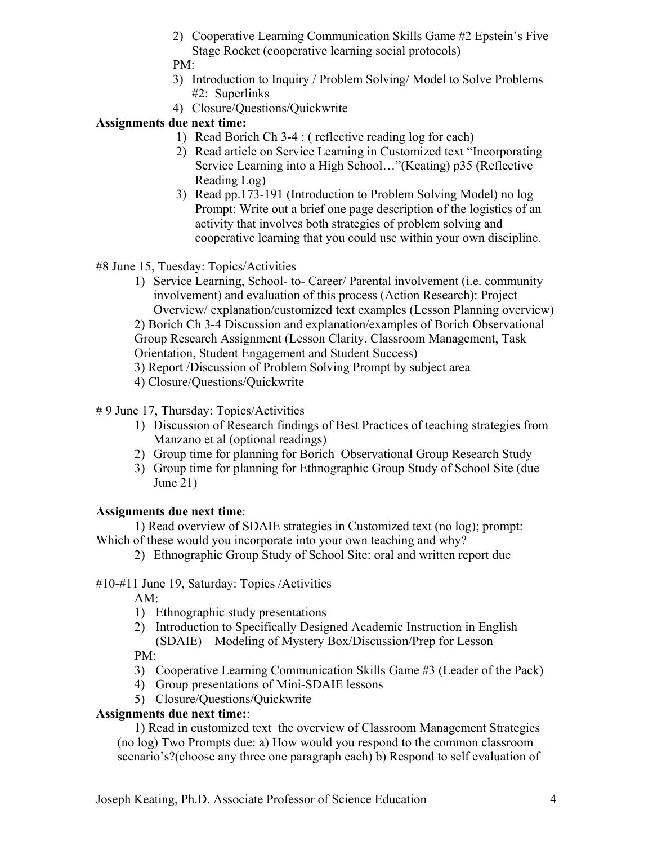2) Cooperative Learning Communication Skills Game #2 Epstein's Five Stage Rocket (cooperative learning social protocols)

PM:

- 3) Introduction to Inquiry / Problem Solving/ Model to Solve Problems #2: Superlinks
- 4) Closure/Questions/Quickwrite

# **Assignments due next time:**

- 1) Read Borich Ch 3-4 : ( reflective reading log for each)
- 2) Read article on Service Learning in Customized text "Incorporating Service Learning into a High School…"(Keating) p35 (Reflective Reading Log)
- 3) Read pp.173-191 (Introduction to Problem Solving Model) no log Prompt: Write out a brief one page description of the logistics of an activity that involves both strategies of problem solving and cooperative learning that you could use within your own discipline.

#8 June 15, Tuesday: Topics/Activities

- 1) Service Learning, School- to- Career/ Parental involvement (i.e. community involvement) and evaluation of this process (Action Research): Project Overview/ explanation/customized text examples (Lesson Planning overview) 2) Borich Ch 3-4 Discussion and explanation/examples of Borich Observational Group Research Assignment (Lesson Clarity, Classroom Management, Task Orientation, Student Engagement and Student Success)
- 3) Report /Discussion of Problem Solving Prompt by subject area
- 4) Closure/Questions/Quickwrite

# # 9 June 17, Thursday: Topics/Activities

- 1) Discussion of Research findings of Best Practices of teaching strategies from Manzano et al (optional readings)
- 2) Group time for planning for Borich Observational Group Research Study
- 3) Group time for planning for Ethnographic Group Study of School Site (due June 21)

# **Assignments due next time**:

1) Read overview of SDAIE strategies in Customized text (no log); prompt:

- Which of these would you incorporate into your own teaching and why?
	- 2) Ethnographic Group Study of School Site: oral and written report due

# #10-#11 June 19, Saturday: Topics /Activities

AM:

- 1) Ethnographic study presentations
- 2) Introduction to Specifically Designed Academic Instruction in English (SDAIE)—Modeling of Mystery Box/Discussion/Prep for Lesson PM:
- 3) Cooperative Learning Communication Skills Game #3 (Leader of the Pack)
- 4) Group presentations of Mini-SDAIE lessons
- 5) Closure/Questions/Quickwrite

# **Assignments due next time:**:

1) Read in customized text the overview of Classroom Management Strategies (no log) Two Prompts due: a) How would you respond to the common classroom scenario's?(choose any three one paragraph each) b) Respond to self evaluation of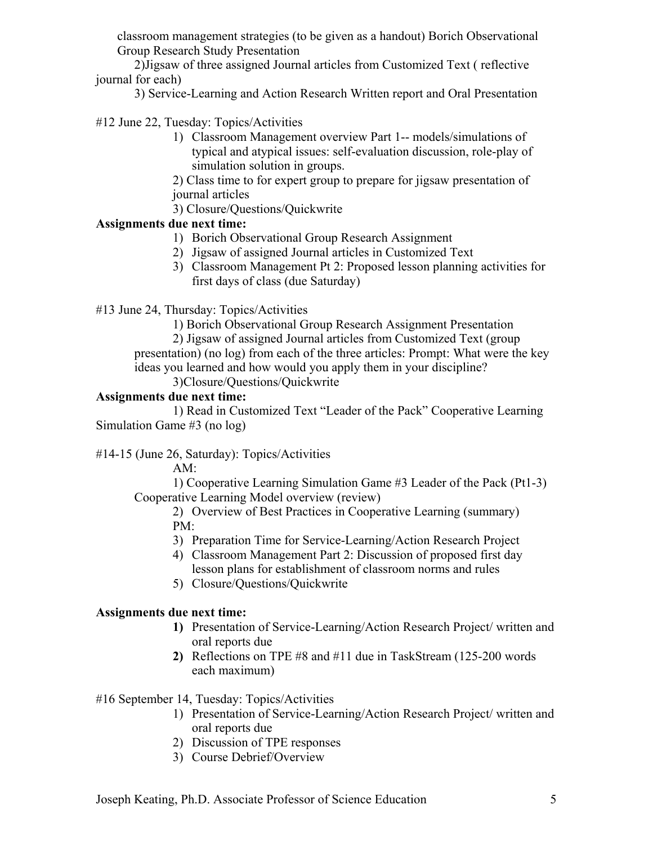classroom management strategies (to be given as a handout) Borich Observational Group Research Study Presentation

2)Jigsaw of three assigned Journal articles from Customized Text ( reflective journal for each)

3) Service-Learning and Action Research Written report and Oral Presentation

#12 June 22, Tuesday: Topics/Activities

1) Classroom Management overview Part 1-- models/simulations of typical and atypical issues: self-evaluation discussion, role-play of simulation solution in groups.

2) Class time to for expert group to prepare for jigsaw presentation of journal articles

3) Closure/Questions/Quickwrite

## **Assignments due next time:**

- 1) Borich Observational Group Research Assignment
- 2) Jigsaw of assigned Journal articles in Customized Text
- 3) Classroom Management Pt 2: Proposed lesson planning activities for first days of class (due Saturday)

#13 June 24, Thursday: Topics/Activities

1) Borich Observational Group Research Assignment Presentation

 2) Jigsaw of assigned Journal articles from Customized Text (group presentation) (no log) from each of the three articles: Prompt: What were the key ideas you learned and how would you apply them in your discipline?

3)Closure/Questions/Quickwrite

## **Assignments due next time:**

 1) Read in Customized Text "Leader of the Pack" Cooperative Learning Simulation Game #3 (no log)

## #14-15 (June 26, Saturday): Topics/Activities

AM:

1) Cooperative Learning Simulation Game #3 Leader of the Pack (Pt1-3) Cooperative Learning Model overview (review)

2) Overview of Best Practices in Cooperative Learning (summary) PM:

- 3) Preparation Time for Service-Learning/Action Research Project
- 4) Classroom Management Part 2: Discussion of proposed first day lesson plans for establishment of classroom norms and rules
- 5) Closure/Questions/Quickwrite

## **Assignments due next time:**

- **1)** Presentation of Service-Learning/Action Research Project/ written and oral reports due
- **2)** Reflections on TPE #8 and #11 due in TaskStream (125-200 words each maximum)

## #16 September 14, Tuesday: Topics/Activities

- 1) Presentation of Service-Learning/Action Research Project/ written and oral reports due
- 2) Discussion of TPE responses
- 3) Course Debrief/Overview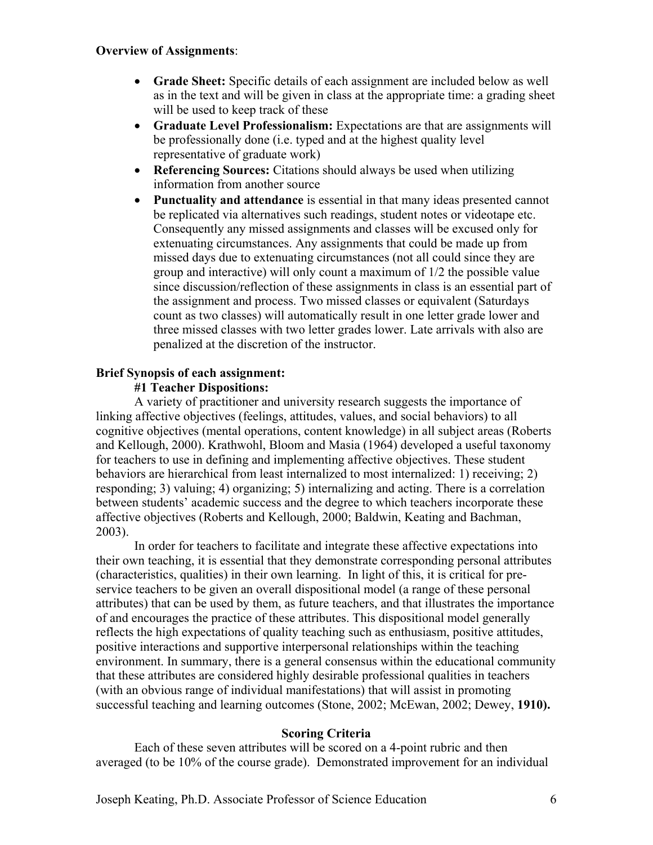### **Overview of Assignments**:

- **Grade Sheet:** Specific details of each assignment are included below as well as in the text and will be given in class at the appropriate time: a grading sheet will be used to keep track of these
- **Graduate Level Professionalism:** Expectations are that are assignments will be professionally done (i.e. typed and at the highest quality level representative of graduate work)
- **Referencing Sources:** Citations should always be used when utilizing information from another source
- **Punctuality and attendance** is essential in that many ideas presented cannot be replicated via alternatives such readings, student notes or videotape etc. Consequently any missed assignments and classes will be excused only for extenuating circumstances. Any assignments that could be made up from missed days due to extenuating circumstances (not all could since they are group and interactive) will only count a maximum of 1/2 the possible value since discussion/reflection of these assignments in class is an essential part of the assignment and process. Two missed classes or equivalent (Saturdays count as two classes) will automatically result in one letter grade lower and three missed classes with two letter grades lower. Late arrivals with also are penalized at the discretion of the instructor.

### **Brief Synopsis of each assignment:**

### **#1 Teacher Dispositions:**

A variety of practitioner and university research suggests the importance of linking affective objectives (feelings, attitudes, values, and social behaviors) to all cognitive objectives (mental operations, content knowledge) in all subject areas (Roberts and Kellough, 2000). Krathwohl, Bloom and Masia (1964) developed a useful taxonomy for teachers to use in defining and implementing affective objectives. These student behaviors are hierarchical from least internalized to most internalized: 1) receiving; 2) responding; 3) valuing; 4) organizing; 5) internalizing and acting. There is a correlation between students' academic success and the degree to which teachers incorporate these affective objectives (Roberts and Kellough, 2000; Baldwin, Keating and Bachman, 2003).

In order for teachers to facilitate and integrate these affective expectations into their own teaching, it is essential that they demonstrate corresponding personal attributes (characteristics, qualities) in their own learning. In light of this, it is critical for preservice teachers to be given an overall dispositional model (a range of these personal attributes) that can be used by them, as future teachers, and that illustrates the importance of and encourages the practice of these attributes. This dispositional model generally reflects the high expectations of quality teaching such as enthusiasm, positive attitudes, positive interactions and supportive interpersonal relationships within the teaching environment. In summary, there is a general consensus within the educational community that these attributes are considered highly desirable professional qualities in teachers (with an obvious range of individual manifestations) that will assist in promoting successful teaching and learning outcomes (Stone, 2002; McEwan, 2002; Dewey, **1910).** 

### **Scoring Criteria**

Each of these seven attributes will be scored on a 4-point rubric and then averaged (to be 10% of the course grade). Demonstrated improvement for an individual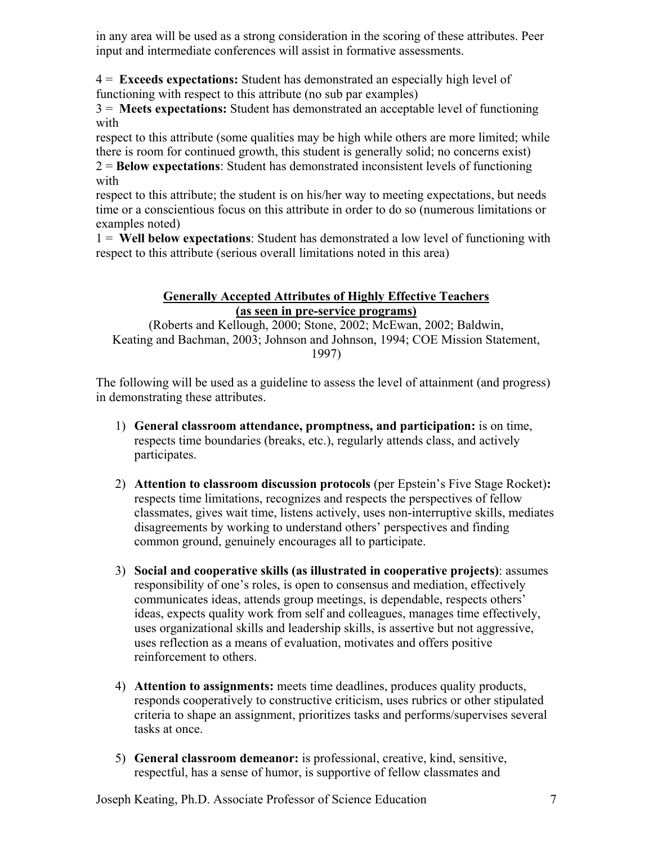in any area will be used as a strong consideration in the scoring of these attributes. Peer input and intermediate conferences will assist in formative assessments.

4 = **Exceeds expectations:** Student has demonstrated an especially high level of functioning with respect to this attribute (no sub par examples)

3 = **Meets expectations:** Student has demonstrated an acceptable level of functioning with

respect to this attribute (some qualities may be high while others are more limited; while there is room for continued growth, this student is generally solid; no concerns exist)

2 = **Below expectations**: Student has demonstrated inconsistent levels of functioning with

respect to this attribute; the student is on his/her way to meeting expectations, but needs time or a conscientious focus on this attribute in order to do so (numerous limitations or examples noted)

1 = **Well below expectations**: Student has demonstrated a low level of functioning with respect to this attribute (serious overall limitations noted in this area)

# **Generally Accepted Attributes of Highly Effective Teachers (as seen in pre-service programs)**

(Roberts and Kellough, 2000; Stone, 2002; McEwan, 2002; Baldwin, Keating and Bachman, 2003; Johnson and Johnson, 1994; COE Mission Statement, 1997)

The following will be used as a guideline to assess the level of attainment (and progress) in demonstrating these attributes.

- 1) **General classroom attendance, promptness, and participation:** is on time, respects time boundaries (breaks, etc.), regularly attends class, and actively participates.
- 2) **Attention to classroom discussion protocols** (per Epstein's Five Stage Rocket)**:** respects time limitations, recognizes and respects the perspectives of fellow classmates, gives wait time, listens actively, uses non-interruptive skills, mediates disagreements by working to understand others' perspectives and finding common ground, genuinely encourages all to participate.
- 3) **Social and cooperative skills (as illustrated in cooperative projects)**: assumes responsibility of one's roles, is open to consensus and mediation, effectively communicates ideas, attends group meetings, is dependable, respects others' ideas, expects quality work from self and colleagues, manages time effectively, uses organizational skills and leadership skills, is assertive but not aggressive, uses reflection as a means of evaluation, motivates and offers positive reinforcement to others.
- 4) **Attention to assignments:** meets time deadlines, produces quality products, responds cooperatively to constructive criticism, uses rubrics or other stipulated criteria to shape an assignment, prioritizes tasks and performs/supervises several tasks at once.
- 5) **General classroom demeanor:** is professional, creative, kind, sensitive, respectful, has a sense of humor, is supportive of fellow classmates and

Joseph Keating, Ph.D. Associate Professor of Science Education 7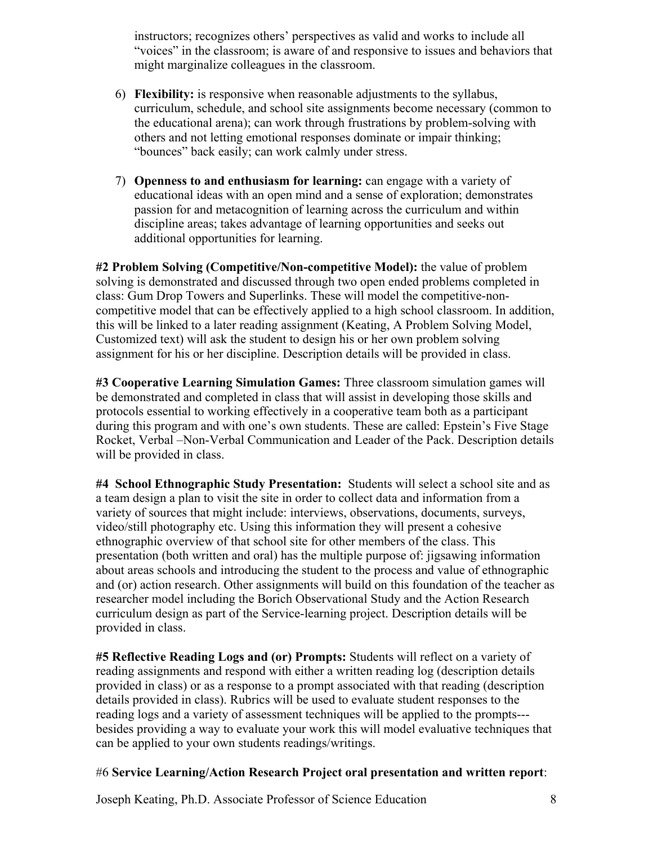instructors; recognizes others' perspectives as valid and works to include all "voices" in the classroom; is aware of and responsive to issues and behaviors that might marginalize colleagues in the classroom.

- 6) **Flexibility:** is responsive when reasonable adjustments to the syllabus, curriculum, schedule, and school site assignments become necessary (common to the educational arena); can work through frustrations by problem-solving with others and not letting emotional responses dominate or impair thinking; "bounces" back easily; can work calmly under stress.
- 7) **Openness to and enthusiasm for learning:** can engage with a variety of educational ideas with an open mind and a sense of exploration; demonstrates passion for and metacognition of learning across the curriculum and within discipline areas; takes advantage of learning opportunities and seeks out additional opportunities for learning.

**#2 Problem Solving (Competitive/Non-competitive Model):** the value of problem solving is demonstrated and discussed through two open ended problems completed in class: Gum Drop Towers and Superlinks. These will model the competitive-noncompetitive model that can be effectively applied to a high school classroom. In addition, this will be linked to a later reading assignment (Keating, A Problem Solving Model, Customized text) will ask the student to design his or her own problem solving assignment for his or her discipline. Description details will be provided in class.

**#3 Cooperative Learning Simulation Games:** Three classroom simulation games will be demonstrated and completed in class that will assist in developing those skills and protocols essential to working effectively in a cooperative team both as a participant during this program and with one's own students. These are called: Epstein's Five Stage Rocket, Verbal –Non-Verbal Communication and Leader of the Pack. Description details will be provided in class.

**#4 School Ethnographic Study Presentation:** Students will select a school site and as a team design a plan to visit the site in order to collect data and information from a variety of sources that might include: interviews, observations, documents, surveys, video/still photography etc. Using this information they will present a cohesive ethnographic overview of that school site for other members of the class. This presentation (both written and oral) has the multiple purpose of: jigsawing information about areas schools and introducing the student to the process and value of ethnographic and (or) action research. Other assignments will build on this foundation of the teacher as researcher model including the Borich Observational Study and the Action Research curriculum design as part of the Service-learning project. Description details will be provided in class.

**#5 Reflective Reading Logs and (or) Prompts:** Students will reflect on a variety of reading assignments and respond with either a written reading log (description details provided in class) or as a response to a prompt associated with that reading (description details provided in class). Rubrics will be used to evaluate student responses to the reading logs and a variety of assessment techniques will be applied to the prompts-- besides providing a way to evaluate your work this will model evaluative techniques that can be applied to your own students readings/writings.

### #6 **Service Learning/Action Research Project oral presentation and written report**: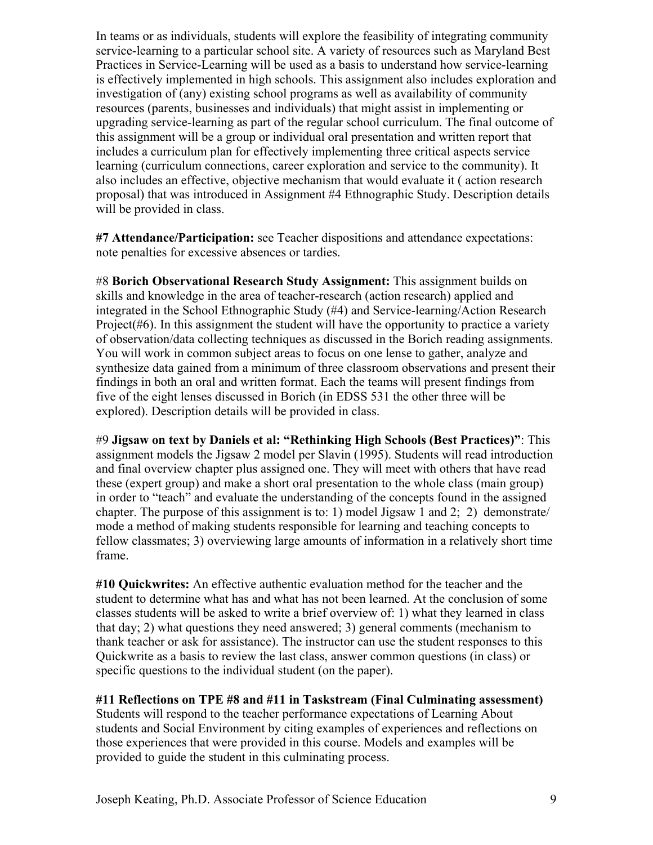In teams or as individuals, students will explore the feasibility of integrating community service-learning to a particular school site. A variety of resources such as Maryland Best Practices in Service-Learning will be used as a basis to understand how service-learning is effectively implemented in high schools. This assignment also includes exploration and investigation of (any) existing school programs as well as availability of community resources (parents, businesses and individuals) that might assist in implementing or upgrading service-learning as part of the regular school curriculum. The final outcome of this assignment will be a group or individual oral presentation and written report that includes a curriculum plan for effectively implementing three critical aspects service learning (curriculum connections, career exploration and service to the community). It also includes an effective, objective mechanism that would evaluate it ( action research proposal) that was introduced in Assignment #4 Ethnographic Study. Description details will be provided in class.

**#7 Attendance/Participation:** see Teacher dispositions and attendance expectations: note penalties for excessive absences or tardies.

#8 **Borich Observational Research Study Assignment:** This assignment builds on skills and knowledge in the area of teacher-research (action research) applied and integrated in the School Ethnographic Study (#4) and Service-learning/Action Research Project( $#6$ ). In this assignment the student will have the opportunity to practice a variety of observation/data collecting techniques as discussed in the Borich reading assignments. You will work in common subject areas to focus on one lense to gather, analyze and synthesize data gained from a minimum of three classroom observations and present their findings in both an oral and written format. Each the teams will present findings from five of the eight lenses discussed in Borich (in EDSS 531 the other three will be explored). Description details will be provided in class.

#9 **Jigsaw on text by Daniels et al: "Rethinking High Schools (Best Practices)"**: This assignment models the Jigsaw 2 model per Slavin (1995). Students will read introduction and final overview chapter plus assigned one. They will meet with others that have read these (expert group) and make a short oral presentation to the whole class (main group) in order to "teach" and evaluate the understanding of the concepts found in the assigned chapter. The purpose of this assignment is to: 1) model Jigsaw 1 and 2: 2) demonstrate/ mode a method of making students responsible for learning and teaching concepts to fellow classmates; 3) overviewing large amounts of information in a relatively short time frame.

**#10 Quickwrites:** An effective authentic evaluation method for the teacher and the student to determine what has and what has not been learned. At the conclusion of some classes students will be asked to write a brief overview of: 1) what they learned in class that day; 2) what questions they need answered; 3) general comments (mechanism to thank teacher or ask for assistance). The instructor can use the student responses to this Quickwrite as a basis to review the last class, answer common questions (in class) or specific questions to the individual student (on the paper).

### **#11 Reflections on TPE #8 and #11 in Taskstream (Final Culminating assessment)**

Students will respond to the teacher performance expectations of Learning About students and Social Environment by citing examples of experiences and reflections on those experiences that were provided in this course. Models and examples will be provided to guide the student in this culminating process.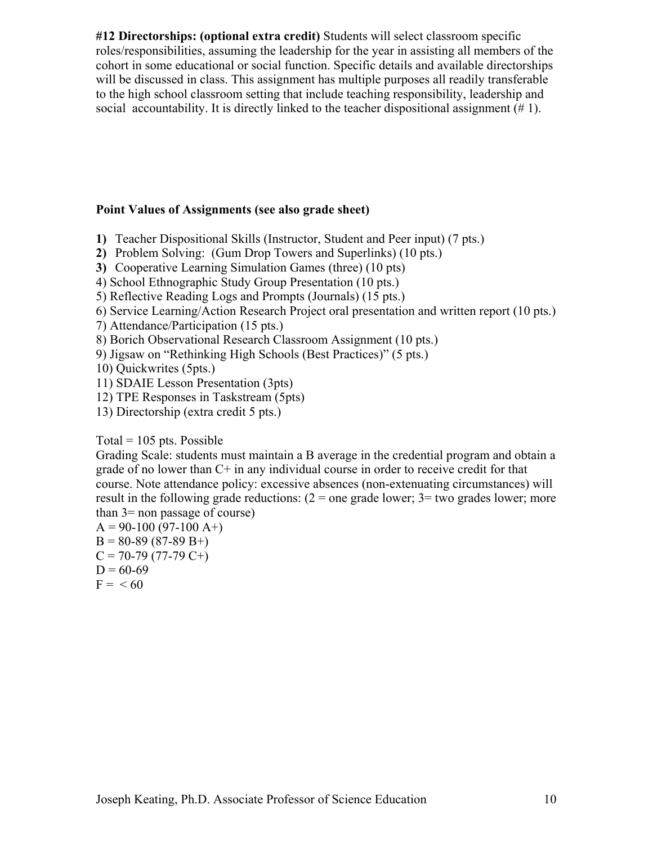**#12 Directorships: (optional extra credit)** Students will select classroom specific roles/responsibilities, assuming the leadership for the year in assisting all members of the cohort in some educational or social function. Specific details and available directorships will be discussed in class. This assignment has multiple purposes all readily transferable to the high school classroom setting that include teaching responsibility, leadership and social accountability. It is directly linked to the teacher dispositional assignment (# 1).

### **Point Values of Assignments (see also grade sheet)**

- **1)** Teacher Dispositional Skills (Instructor, Student and Peer input) (7 pts.)
- **2)** Problem Solving: (Gum Drop Towers and Superlinks) (10 pts.)
- **3)** Cooperative Learning Simulation Games (three) (10 pts)
- 4) School Ethnographic Study Group Presentation (10 pts.)
- 5) Reflective Reading Logs and Prompts (Journals) (15 pts.)
- 6) Service Learning/Action Research Project oral presentation and written report (10 pts.)
- 7) Attendance/Participation (15 pts.)
- 8) Borich Observational Research Classroom Assignment (10 pts.)
- 9) Jigsaw on "Rethinking High Schools (Best Practices)" (5 pts.)

10) Quickwrites (5pts.)

- 11) SDAIE Lesson Presentation (3pts)
- 12) TPE Responses in Taskstream (5pts)
- 13) Directorship (extra credit 5 pts.)

### Total =  $105$  pts. Possible

Grading Scale: students must maintain a B average in the credential program and obtain a grade of no lower than C+ in any individual course in order to receive credit for that course. Note attendance policy: excessive absences (non-extenuating circumstances) will result in the following grade reductions:  $(2 =$  one grade lower;  $3 =$  two grades lower; more than 3= non passage of course)

 $A = 90-100 (97-100 A+)$  $B = 80-89(87-89 B+$  $C = 70-79(77-79 C+)$  $D = 60-69$  $F = < 60$